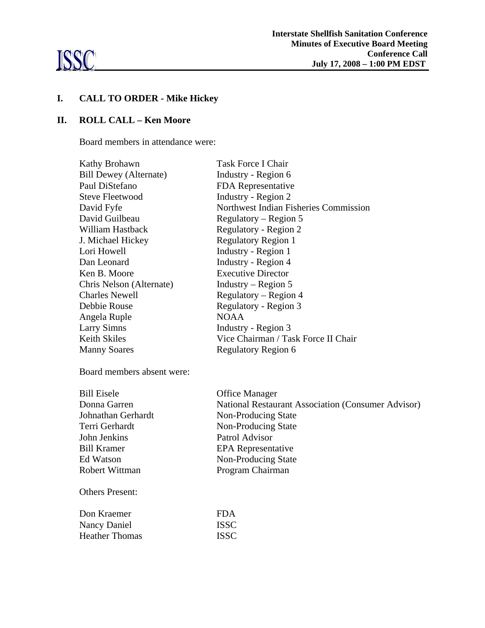

# **I. CALL TO ORDER - Mike Hickey**

## **II. ROLL CALL – Ken Moore**

Board members in attendance were:

| Kathy Brohawn                 | Task Force I Chair                    |
|-------------------------------|---------------------------------------|
| <b>Bill Dewey (Alternate)</b> | Industry - Region 6                   |
|                               |                                       |
| Paul DiStefano                | FDA Representative                    |
| Steve Fleetwood               | Industry - Region 2                   |
| David Fyfe                    | Northwest Indian Fisheries Commission |
| David Guilbeau                | Regulatory – Region 5                 |
| William Hastback              | Regulatory - Region 2                 |
| J. Michael Hickey             | <b>Regulatory Region 1</b>            |
| Lori Howell                   | Industry - Region 1                   |
| Dan Leonard                   | Industry - Region 4                   |
| Ken B. Moore                  | <b>Executive Director</b>             |
| Chris Nelson (Alternate)      | Industry – Region $5$                 |
| <b>Charles Newell</b>         | Regulatory – Region 4                 |
| Debbie Rouse                  | Regulatory - Region 3                 |
| Angela Ruple                  | <b>NOAA</b>                           |
| <b>Larry Simns</b>            | Industry - Region 3                   |
| <b>Keith Skiles</b>           | Vice Chairman / Task Force II Chair   |
| <b>Manny Soares</b>           | <b>Regulatory Region 6</b>            |
|                               |                                       |

Board members absent were:

Heather Thomas ISSC

| <b>Bill Eisele</b>     | <b>Office Manager</b>                                     |
|------------------------|-----------------------------------------------------------|
| Donna Garren           | <b>National Restaurant Association (Consumer Advisor)</b> |
| Johnathan Gerhardt     | Non-Producing State                                       |
| Terri Gerhardt         | Non-Producing State                                       |
| John Jenkins           | Patrol Advisor                                            |
| <b>Bill Kramer</b>     | <b>EPA</b> Representative                                 |
| Ed Watson              | Non-Producing State                                       |
| Robert Wittman         | Program Chairman                                          |
| <b>Others Present:</b> |                                                           |
| Don Kraemer            | FDA.                                                      |
| Nancy Daniel           | <b>ISSC</b>                                               |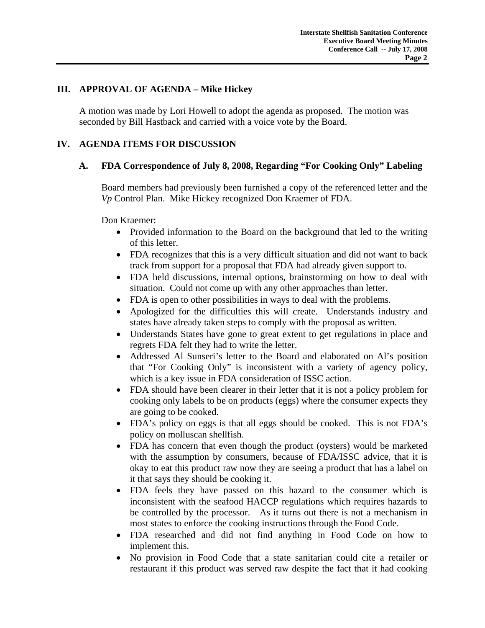#### **III. APPROVAL OF AGENDA – Mike Hickey**

A motion was made by Lori Howell to adopt the agenda as proposed. The motion was seconded by Bill Hastback and carried with a voice vote by the Board.

#### **IV. AGENDA ITEMS FOR DISCUSSION**

#### **A. FDA Correspondence of July 8, 2008, Regarding "For Cooking Only" Labeling**

Board members had previously been furnished a copy of the referenced letter and the *Vp* Control Plan. Mike Hickey recognized Don Kraemer of FDA.

Don Kraemer:

- Provided information to the Board on the background that led to the writing of this letter.
- FDA recognizes that this is a very difficult situation and did not want to back track from support for a proposal that FDA had already given support to.
- FDA held discussions, internal options, brainstorming on how to deal with situation. Could not come up with any other approaches than letter.
- FDA is open to other possibilities in ways to deal with the problems.
- Apologized for the difficulties this will create. Understands industry and states have already taken steps to comply with the proposal as written.
- Understands States have gone to great extent to get regulations in place and regrets FDA felt they had to write the letter.
- Addressed Al Sunseri's letter to the Board and elaborated on Al's position that "For Cooking Only" is inconsistent with a variety of agency policy, which is a key issue in FDA consideration of ISSC action.
- FDA should have been clearer in their letter that it is not a policy problem for cooking only labels to be on products (eggs) where the consumer expects they are going to be cooked.
- FDA's policy on eggs is that all eggs should be cooked. This is not FDA's policy on molluscan shellfish.
- FDA has concern that even though the product (oysters) would be marketed with the assumption by consumers, because of FDA/ISSC advice, that it is okay to eat this product raw now they are seeing a product that has a label on it that says they should be cooking it.
- FDA feels they have passed on this hazard to the consumer which is inconsistent with the seafood HACCP regulations which requires hazards to be controlled by the processor. As it turns out there is not a mechanism in most states to enforce the cooking instructions through the Food Code.
- FDA researched and did not find anything in Food Code on how to implement this.
- No provision in Food Code that a state sanitarian could cite a retailer or restaurant if this product was served raw despite the fact that it had cooking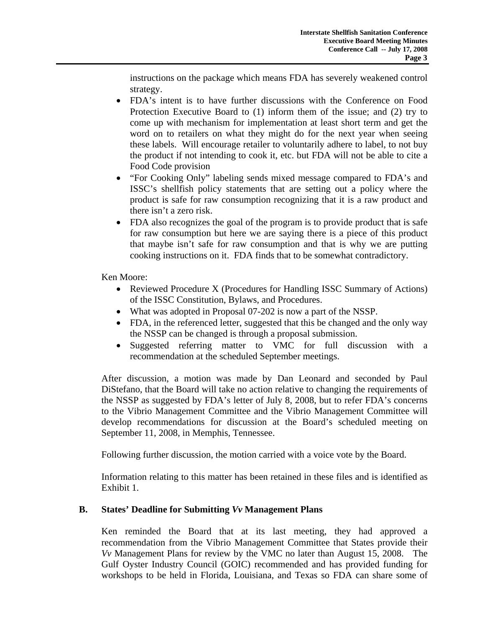instructions on the package which means FDA has severely weakened control strategy.

- FDA's intent is to have further discussions with the Conference on Food Protection Executive Board to (1) inform them of the issue; and (2) try to come up with mechanism for implementation at least short term and get the word on to retailers on what they might do for the next year when seeing these labels. Will encourage retailer to voluntarily adhere to label, to not buy the product if not intending to cook it, etc. but FDA will not be able to cite a Food Code provision
- "For Cooking Only" labeling sends mixed message compared to FDA's and ISSC's shellfish policy statements that are setting out a policy where the product is safe for raw consumption recognizing that it is a raw product and there isn't a zero risk.
- FDA also recognizes the goal of the program is to provide product that is safe for raw consumption but here we are saying there is a piece of this product that maybe isn't safe for raw consumption and that is why we are putting cooking instructions on it. FDA finds that to be somewhat contradictory.

Ken Moore:

- Reviewed Procedure X (Procedures for Handling ISSC Summary of Actions) of the ISSC Constitution, Bylaws, and Procedures.
- What was adopted in Proposal 07-202 is now a part of the NSSP.
- FDA, in the referenced letter, suggested that this be changed and the only way the NSSP can be changed is through a proposal submission.
- Suggested referring matter to VMC for full discussion with a recommendation at the scheduled September meetings.

After discussion, a motion was made by Dan Leonard and seconded by Paul DiStefano, that the Board will take no action relative to changing the requirements of the NSSP as suggested by FDA's letter of July 8, 2008, but to refer FDA's concerns to the Vibrio Management Committee and the Vibrio Management Committee will develop recommendations for discussion at the Board's scheduled meeting on September 11, 2008, in Memphis, Tennessee.

Following further discussion, the motion carried with a voice vote by the Board.

Information relating to this matter has been retained in these files and is identified as Exhibit 1.

## **B. States' Deadline for Submitting** *Vv* **Management Plans**

 Ken reminded the Board that at its last meeting, they had approved a recommendation from the Vibrio Management Committee that States provide their *Vv* Management Plans for review by the VMC no later than August 15, 2008. The Gulf Oyster Industry Council (GOIC) recommended and has provided funding for workshops to be held in Florida, Louisiana, and Texas so FDA can share some of